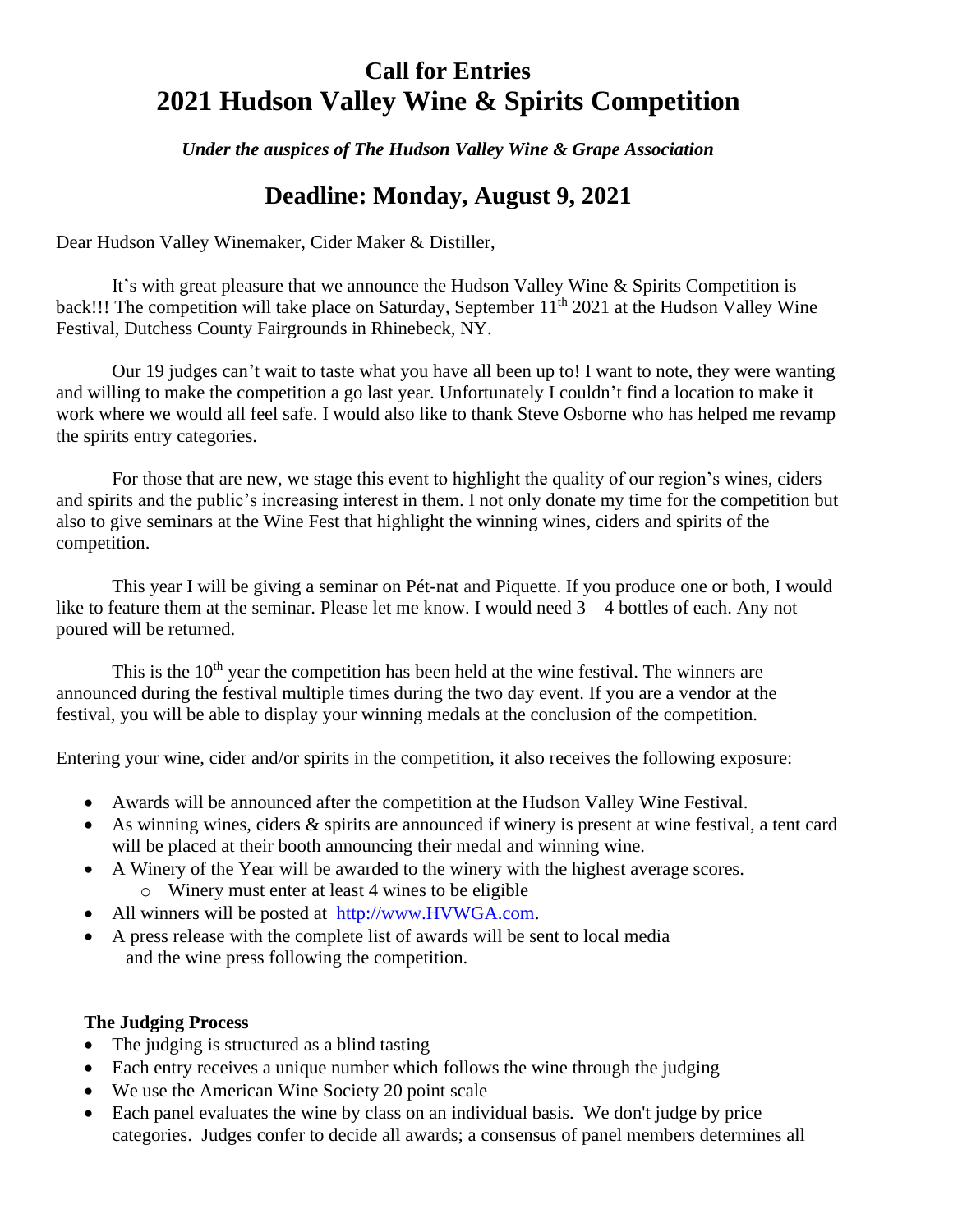# **Call for Entries 2021 Hudson Valley Wine & Spirits Competition**

*Under the auspices of The Hudson Valley Wine & Grape Association* 

# **Deadline: Monday, August 9, 2021**

Dear Hudson Valley Winemaker, Cider Maker & Distiller,

It's with great pleasure that we announce the Hudson Valley Wine & Spirits Competition is back!!! The competition will take place on Saturday, September  $11<sup>th</sup> 2021$  at the Hudson Valley Wine Festival, Dutchess County Fairgrounds in Rhinebeck, NY.

Our 19 judges can't wait to taste what you have all been up to! I want to note, they were wanting and willing to make the competition a go last year. Unfortunately I couldn't find a location to make it work where we would all feel safe. I would also like to thank Steve Osborne who has helped me revamp the spirits entry categories.

For those that are new, we stage this event to highlight the quality of our region's wines, ciders and spirits and the public's increasing interest in them. I not only donate my time for the competition but also to give seminars at the Wine Fest that highlight the winning wines, ciders and spirits of the competition.

This year I will be giving a seminar on Pét-nat and Piquette. If you produce one or both, I would like to feature them at the seminar. Please let me know. I would need  $3 - 4$  bottles of each. Any not poured will be returned.

This is the  $10<sup>th</sup>$  year the competition has been held at the wine festival. The winners are announced during the festival multiple times during the two day event. If you are a vendor at the festival, you will be able to display your winning medals at the conclusion of the competition.

Entering your wine, cider and/or spirits in the competition, it also receives the following exposure:

- Awards will be announced after the competition at the Hudson Valley Wine Festival.
- As winning wines, ciders & spirits are announced if winery is present at wine festival, a tent card will be placed at their booth announcing their medal and winning wine.
- A Winery of the Year will be awarded to the winery with the highest average scores.
- o Winery must enter at least 4 wines to be eligible
- All winners will be posted at [http://www.HVWGA.com.](http://www.hvwga.com/)
- A press release with the complete list of awards will be sent to local media and the wine press following the competition.

#### **The Judging Process**

- The judging is structured as a blind tasting
- Each entry receives a unique number which follows the wine through the judging
- We use the American Wine Society 20 point scale
- Each panel evaluates the wine by class on an individual basis. We don't judge by price categories. Judges confer to decide all awards; a consensus of panel members determines all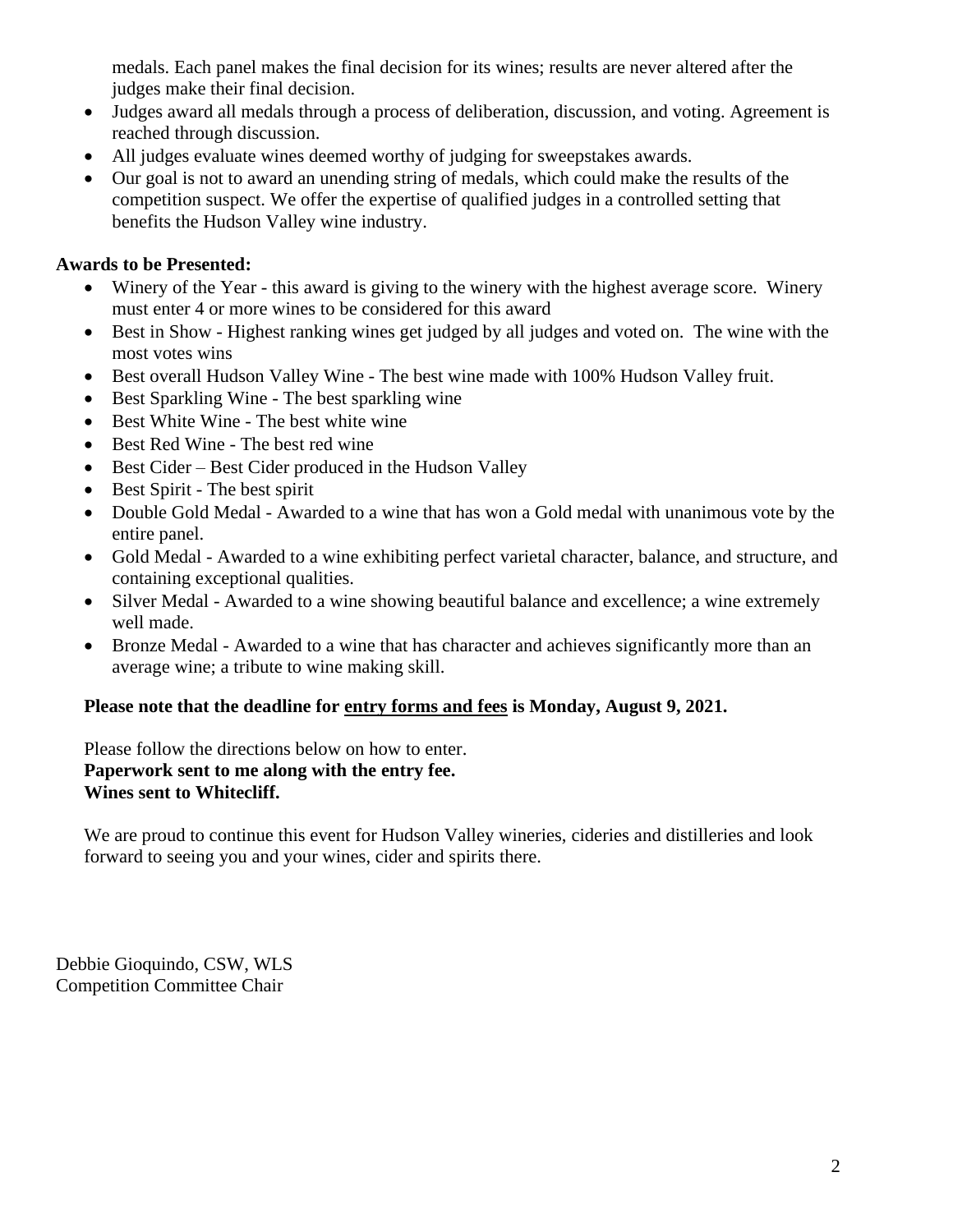medals. Each panel makes the final decision for its wines; results are never altered after the judges make their final decision.

- Judges award all medals through a process of deliberation, discussion, and voting. Agreement is reached through discussion.
- All judges evaluate wines deemed worthy of judging for sweepstakes awards.
- Our goal is not to award an unending string of medals, which could make the results of the competition suspect. We offer the expertise of qualified judges in a controlled setting that benefits the Hudson Valley wine industry.

## **Awards to be Presented:**

- Winery of the Year this award is giving to the winery with the highest average score. Winery must enter 4 or more wines to be considered for this award
- Best in Show Highest ranking wines get judged by all judges and voted on. The wine with the most votes wins
- Best overall Hudson Valley Wine The best wine made with 100% Hudson Valley fruit.
- Best Sparkling Wine The best sparkling wine
- Best White Wine The best white wine
- Best Red Wine The best red wine
- Best Cider Best Cider produced in the Hudson Valley
- Best Spirit The best spirit
- Double Gold Medal Awarded to a wine that has won a Gold medal with unanimous vote by the entire panel.
- Gold Medal Awarded to a wine exhibiting perfect varietal character, balance, and structure, and containing exceptional qualities.
- Silver Medal Awarded to a wine showing beautiful balance and excellence; a wine extremely well made.
- Bronze Medal Awarded to a wine that has character and achieves significantly more than an average wine; a tribute to wine making skill.

## **Please note that the deadline for entry forms and fees is Monday, August 9, 2021.**

Please follow the directions below on how to enter. **Paperwork sent to me along with the entry fee. Wines sent to Whitecliff.**

We are proud to continue this event for Hudson Valley wineries, cideries and distilleries and look forward to seeing you and your wines, cider and spirits there.

Debbie Gioquindo, CSW, WLS Competition Committee Chair